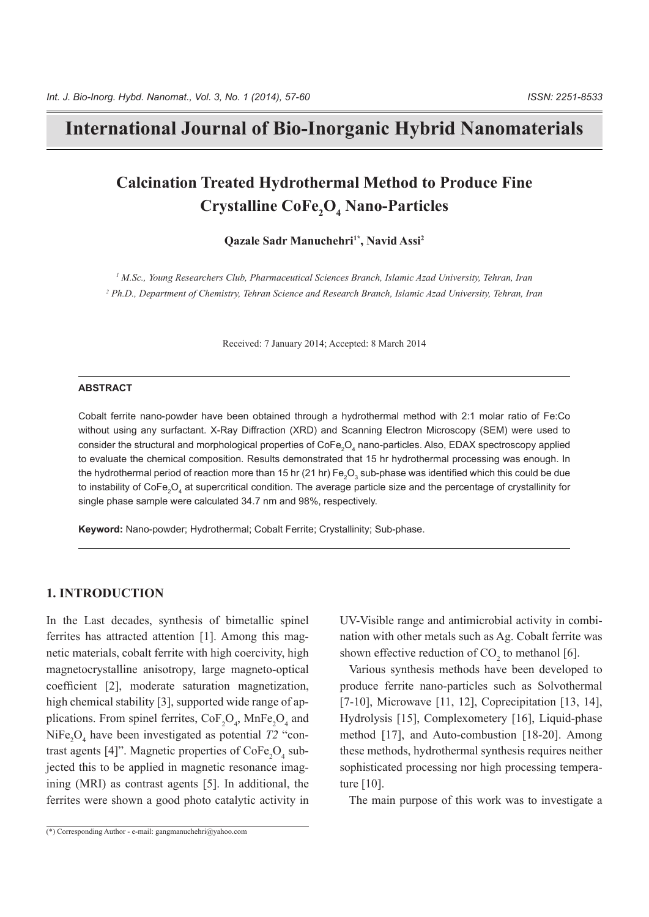## **International Journal of Bio-Inorganic Hybrid Nanomaterials**

# **Calcination Treated Hydrothermal Method to Produce Fine**  $\bf{C}$ rystalline  $\bf{CoFe}_2O_4$  Nano-Particles

Qazale Sadr Manuchehri<sup>1\*</sup>, Navid Assi<sup>2</sup>

<sup>1</sup> M.Sc., Young Researchers Club, Pharmaceutical Sciences Branch, Islamic Azad University, Tehran, Iran <sup>2</sup> Ph.D., Department of Chemistry, Tehran Science and Research Branch, Islamic Azad University, Tehran, Iran

Received: 7 January 2014; Accepted: 8 March 2014

#### **ABSTRACT**

Cobalt ferrite nano-powder have been obtained through a hydrothermal method with 2:1 molar ratio of Fe:Co without using any surfactant. X-Ray Diffraction (XRD) and Scanning Electron Microscopy (SEM) were used to consider the structural and morphological properties of CoFe<sub>2</sub>O<sub>4</sub> nano-particles. Also, EDAX spectroscopy applied to evaluate the chemical composition. Results demonstrated that 15 hr hydrothermal processing was enough. In the hydrothermal period of reaction more than 15 hr (21 hr) Fe $_2\rm O_3$  sub-phase was identified which this could be due to instability of CoFe $_2$ O<sub>4</sub> at supercritical condition. The average particle size and the percentage of crystallinity for single phase sample were calculated 34.7 nm and 98%, respectively.

Keyword: Nano-powder; Hydrothermal; Cobalt Ferrite; Crystallinity; Sub-phase.

#### **1. INTRODUCTION**

In the Last decades, synthesis of bimetallic spinel netic materials, cobalt ferrite with high coercivity, high ferrites has attracted attention  $[1]$ . Among this magmagnetocrystalline anisotropy, large magneto-optical coefficient [2], moderate saturation magnetization, high chemical stability [3], supported wide range of applications. From spinel ferrites,  $\text{CoF}_2\text{O}_4$ ,  $\text{MnFe}_2\text{O}_4$  and high chemical stability [3], supported wide range of ap- $NiFe<sub>2</sub>O<sub>4</sub>$  have been investigated as potential  $T2$  "con NiFe<sub>2</sub>O<sub>4</sub> have been investigated as potential T2 "contrast agents [4]". Magnetic properties of CoFe<sub>2</sub>O<sub>4</sub> subjected this to be applied in magnetic resonance imagjected this to be applied in magnetic resonance imagining (MRI) as contrast agents [5]. In additional, the ferrites were shown a good photo catalytic activity in

nation with other metals such as Ag. Cobalt ferrite was UV-Visible range and antimicrobial activity in combishown effective reduction of  $CO<sub>2</sub>$  to methanol [6].

Various synthesis methods have been developed to produce ferrite nano-particles such as Solvothermal [7-10], Microwave [11, 12], Coprecipitation [13, 14], Hydrolysis [15], Complexometery [16], Liquid-phase method  $[17]$ , and Auto-combustion  $[18-20]$ . Among these methods, hydrothermal synthesis requires neither sophisticated processing nor high processing tempera-<br>ture [10].

The main purpose of this work was to investigate a

 $\overline{(*)}$  Corresponding Author - e-mail: gangmanuchehri@yahoo.com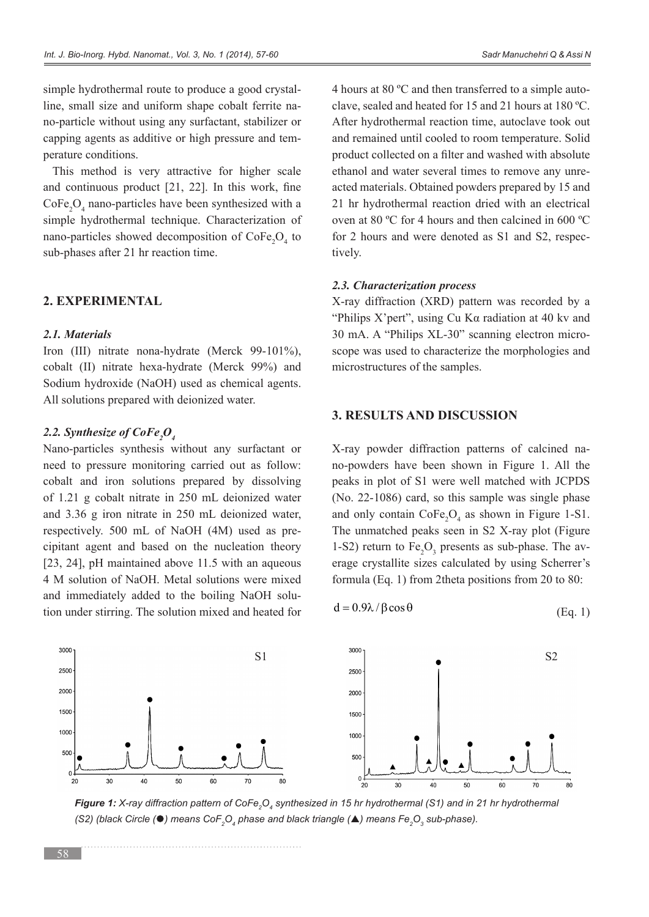no-particle without using any surfactant, stabilizer or line, small size and uniform shape cobalt ferrite nasimple hydrothermal route to produce a good crystalcapping agents as additive or high pressure and tem-<br>perature conditions.

This method is very attractive for higher scale and continuous product  $[21, 22]$ . In this work, fine  $\text{CoFe}_2\text{O}_4$  nano-particles have been synthesized with a simple hydrothermal technique. Characterization of nano-particles showed decomposition of  $\text{CoFe}_2\text{O}_4$  to sub-phases after 21 hr reaction time.

## **EXPERIMENTAL 2.**

#### *Materials 2.1.*

Iron (III) nitrate nona-hydrate (Merck  $99-101\%$ ), cobalt (II) nitrate hexa-hydrate (Merck  $99\%$ ) and Sodium hydroxide (NaOH) used as chemical agents. All solutions prepared with deionized water.

## 2.2. Synthesize of CoFe<sub>2</sub>O<sub>4</sub>

Nano-particles synthesis without any surfactant or need to pressure monitoring carried out as follow: cobalt and iron solutions prepared by dissolving of  $1.21$  g cobalt nitrate in  $250$  mL deionized water and  $3.36$  g iron nitrate in  $250$  mL deionized water, cipitant agent and based on the nucleation theory respectively.  $500$  mL of NaOH (4M) used as pre-[23, 24], pH maintained above  $11.5$  with an aqueous 4 M solution of NaOH. Metal solutions were mixed tion under stirring. The solution mixed and heated for and immediately added to the boiling NaOH soluclave, sealed and heated for 15 and 21 hours at  $180^{\circ}$ C. 4 hours at 80  $^{\circ}$ C and then transferred to a simple auto-After hydrothermal reaction time, autoclave took out and remained until cooled to room temperature. Solid product collected on a filter and washed with absolute acted materials. Obtained powders prepared by 15 and ethanol and water several times to remove any unre-21 hr hydrothermal reaction dried with an electrical oven at 80  $^{\circ}$ C for 4 hours and then calcined in 600  $^{\circ}$ C for 2 hours and were denoted as S1 and S2, respectively.

### 2.3. Characterization process

X-ray diffraction (XRD) pattern was recorded by a "Philips X'pert", using  $Cu$  K $\alpha$  radiation at 40 kv and scope was used to characterize the morphologies and  $30$  mA. A "Philips  $XL-30$ " scanning electron micromicrostructures of the samples.

## **3. RESULTS AND DISCUSSION**

no-powders have been shown in Figure 1. All the X-ray powder diffraction patterns of calcined napeaks in plot of S1 were well matched with JCPDS  $(No. 22-1086)$  card, so this sample was single phase and only contain  $\text{CoFe}_2\text{O}_4$  as shown in Figure 1-S1. The unmatched peaks seen in S2 X-ray plot (Figure 1-S2) return to  $Fe<sub>2</sub>O<sub>3</sub>$  presents as sub-phase. The av erage crystallite sizes calculated by using Scherrer's formula (Eq. 1) from 2theta positions from 20 to 80:

$$
d = 0.9\lambda / \beta \cos \theta \tag{Eq. 1}
$$



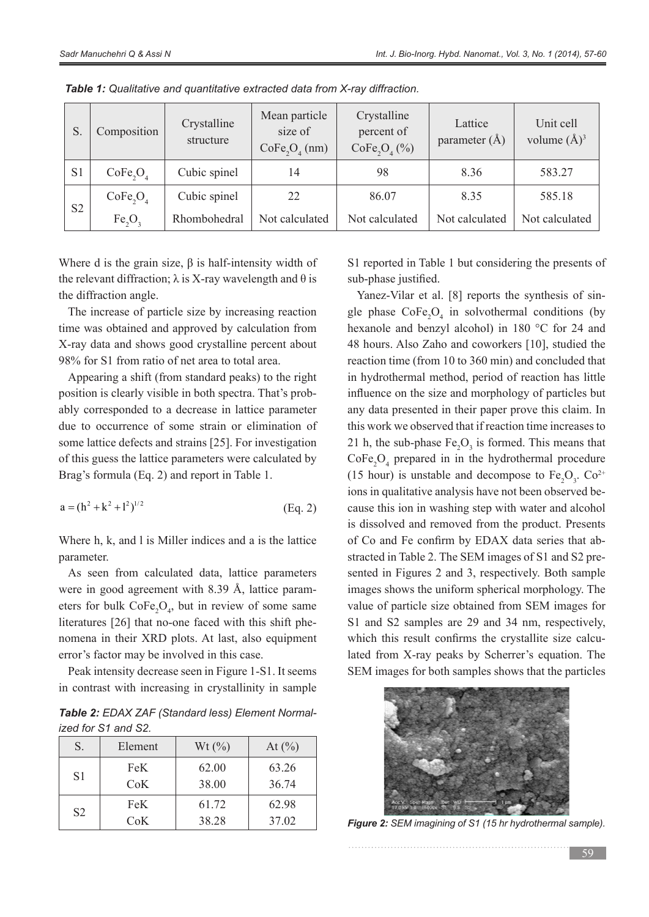|                | Composition                      | Crystalline<br>structure | Mean particle<br>size of<br>$CoFe2O4$ (nm) | Crystalline<br>percent of<br>CoFe <sub>2</sub> O <sub>4</sub> (%) | Lattice<br>parameter $(\AA)$ | Unit cell<br>volume $(\AA)^3$ |
|----------------|----------------------------------|--------------------------|--------------------------------------------|-------------------------------------------------------------------|------------------------------|-------------------------------|
| S <sub>1</sub> | CoFe <sub>2</sub> O <sub>4</sub> | Cubic spinel             | 14                                         | 98                                                                | 8.36                         | 583.27                        |
| S <sub>2</sub> | CoFe <sub>2</sub> O <sub>4</sub> | Cubic spinel             | 22                                         | 86.07                                                             | 8.35                         | 585.18                        |
|                | Fe, O,                           | Rhombohedral             | Not calculated                             | Not calculated                                                    | Not calculated               | Not calculated                |

**Table 1:** Qualitative and quantitative extracted data from X-ray diffraction.

Where d is the grain size,  $\beta$  is half-intensity width of the relevant diffraction; λ is X-ray wavelength and θ is the diffraction angle.

The increase of particle size by increasing reaction time was obtained and approved by calculation from X-ray data and shows good crystalline percent about 98% for S1 from ratio of net area to total area.

Appearing a shift (from standard peaks) to the right ably corresponded to a decrease in lattice parameter position is clearly visible in both spectra. That's probdue to occurrence of some strain or elimination of some lattice defects and strains [25]. For investigation of this guess the lattice parameters were calculated by Brag's formula (Eq. 2) and report in Table 1.

$$
a = (h^2 + k^2 + l^2)^{1/2}
$$
 (Eq. 2)

Where  $h$ ,  $k$ , and  $l$  is Miller indices and a is the lattice parameter.

As seen from calculated data, lattice parameters were in good agreement with 8.39 Å, lattice parameters for bulk  $\text{CoFe}_2\text{O}_4$ , but in review of some same were in good agreement with  $8.39$  Å, lattice paramliteratures [26] that no-one faced with this shift phenomena in their XRD plots. At last, also equipment error's factor may be involved in this case.

Peak intensity decrease seen in Figure 1-S1. It seems in contrast with increasing in crystallinity in sample

**Table 2:** EDAX ZAF (Standard less) Element Normal-<br>ized for S1 and S2.

| S.             | Element | Wt(%) | At $(\% )$ |
|----------------|---------|-------|------------|
| S <sub>1</sub> | FeK     | 62.00 | 63.26      |
|                | CoK     | 38.00 | 36.74      |
| S <sub>2</sub> | FeK.    | 61.72 | 62.98      |
|                | CoK     | 38.28 | 37.02      |

S1 reported in Table 1 but considering the presents of sub-phase justified.

Yanez-Vilar et al. [8] reports the synthesis of single-phase  $\text{CoFe}_2\text{O}_4$  in solvothermal conditions (by Yanez-Vilar et al. [8] reports the synthesis of sinhexanole and benzyl alcohol) in 180  $^{\circ}$ C for 24 and 48 hours. Also Zaho and coworkers [10], studied the reaction time (from  $10$  to  $360$  min) and concluded that in hydrothermal method, period of reaction has little influence on the size and morphology of particles but any data presented in their paper prove this claim. In this work we observed that if reaction time increases to 21 h, the sub-phase  $Fe<sub>2</sub>O<sub>3</sub>$  is formed. This means that  $\text{CoFe}_{2}\text{O}_{4}$  prepared in in the hydrothermal procedure (15 hour) is unstable and decompose to  $Fe<sub>2</sub>O<sub>3</sub>$ .  $Co<sup>2+</sup>$ cause this ion in washing step with water and alcohol ions in qualitative analysis have not been observed beis dissolved and removed from the product. Presents stracted in Table 2. The SEM images of S1 and S2 presented in Figures 2 and 3, respectively. Both sample of Co and Fe confirm by EDAX data series that abstracted in Table 2. The SEM images of S1 and S2 preof Co and Fe confirm by EDAX data series that abimages shows the uniform spherical morphology. The value of particle size obtained from SEM images for S1 and S2 samples are 29 and 34 nm, respectively, lated from X-ray peaks by Scherrer's equation. The which this result confirms the crystallite size calcu-SEM images for both samples shows that the particles



**Figure 2:** SEM imagining of S1 (15 hr hydrothermal sample).